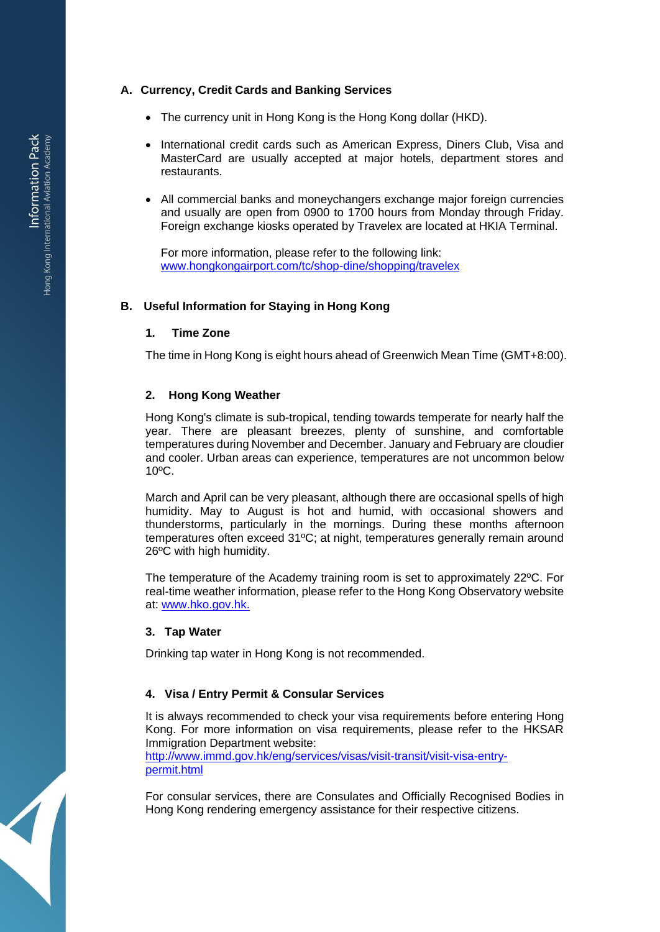# **A. Currency, Credit Cards and Banking Services**

- The currency unit in Hong Kong is the Hong Kong dollar (HKD).
- International credit cards such as American Express, Diners Club, Visa and MasterCard are usually accepted at major hotels, department stores and restaurants.
- All commercial banks and moneychangers exchange major foreign currencies and usually are open from 0900 to 1700 hours from Monday through Friday. Foreign exchange kiosks operated by Travelex are located at HKIA Terminal.

For more information, please refer to the following link: [www.hongkongairport.com/tc/shop-dine/shopping/travelex](http://www.hongkongairport.com/tc/shop-dine/shopping/travelex)

# **B. Useful Information for Staying in Hong Kong**

#### **1. Time Zone**

The time in Hong Kong is eight hours ahead of Greenwich Mean Time (GMT+8:00).

#### **2. Hong Kong Weather**

Hong Kong's climate is sub-tropical, tending towards temperate for nearly half the year. There are pleasant breezes, plenty of sunshine, and comfortable temperatures during November and December. January and February are cloudier and cooler. Urban areas can experience, temperatures are not uncommon below 10ºC.

March and April can be very pleasant, although there are occasional spells of high humidity. May to August is hot and humid, with occasional showers and thunderstorms, particularly in the mornings. During these months afternoon temperatures often exceed 31ºC; at night, temperatures generally remain around 26ºC with high humidity.

The temperature of the Academy training room is set to approximately 22ºC. For real-time weather information, please refer to the Hong Kong Observatory website at: [www.hko.gov.hk.](http://www.hko.gov.hk/)

## **3. Tap Water**

Drinking tap water in Hong Kong is not recommended.

## **4. Visa / Entry Permit & Consular Services**

It is always recommended to check your visa requirements before entering Hong Kong. For more information on visa requirements, please refer to the HKSAR Immigration Department website: [http://www.immd.gov.hk/eng/services/visas/visit-transit/visit-visa-entry](http://www.immd.gov.hk/eng/services/visas/visit-transit/visit-visa-entry-permit.html)[permit.html](http://www.immd.gov.hk/eng/services/visas/visit-transit/visit-visa-entry-permit.html)

For consular services, there are Consulates and Officially Recognised Bodies in Hong Kong rendering emergency assistance for their respective citizens.